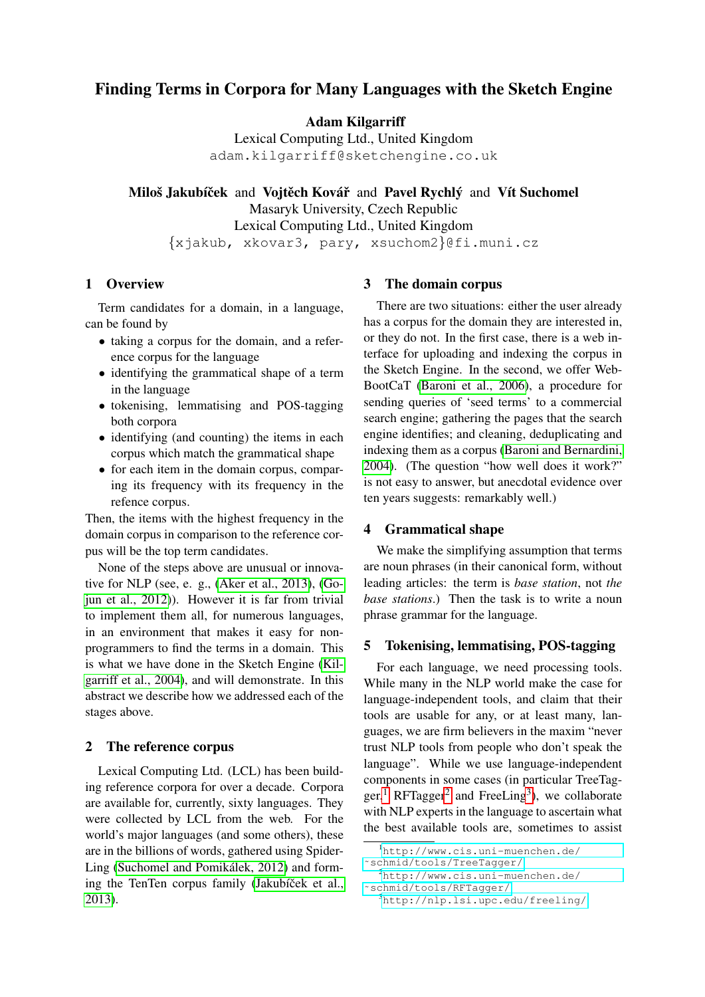# Finding Terms in Corpora for Many Languages with the Sketch Engine

Adam Kilgarriff

Lexical Computing Ltd., United Kingdom adam.kilgarriff@sketchengine.co.uk

Miloš Jakubíček and Vojtěch Kovář and Pavel Rychlý and Vít Suchomel Masaryk University, Czech Republic Lexical Computing Ltd., United Kingdom {xjakub, xkovar3, pary, xsuchom2}@fi.muni.cz

## 1 Overview

Term candidates for a domain, in a language, can be found by

- taking a corpus for the domain, and a reference corpus for the language
- identifying the grammatical shape of a term in the language
- tokenising, lemmatising and POS-tagging both corpora
- identifying (and counting) the items in each corpus which match the grammatical shape
- for each item in the domain corpus, comparing its frequency with its frequency in the refence corpus.

Then, the items with the highest frequency in the domain corpus in comparison to the reference corpus will be the top term candidates.

None of the steps above are unusual or innovative for NLP (see, e. g., [\(Aker et al., 2013\)](#page-3-0), [\(Go](#page-3-1)[jun et al., 2012\)](#page-3-1)). However it is far from trivial to implement them all, for numerous languages, in an environment that makes it easy for nonprogrammers to find the terms in a domain. This is what we have done in the Sketch Engine [\(Kil](#page-3-2)[garriff et al., 2004\)](#page-3-2), and will demonstrate. In this abstract we describe how we addressed each of the stages above.

#### 2 The reference corpus

Lexical Computing Ltd. (LCL) has been building reference corpora for over a decade. Corpora are available for, currently, sixty languages. They were collected by LCL from the web. For the world's major languages (and some others), these are in the billions of words, gathered using Spider-Ling (Suchomel and Pomikálek, 2012) and forming the TenTen corpus family (Jakubíček et al., [2013\)](#page-3-4).

## 3 The domain corpus

There are two situations: either the user already has a corpus for the domain they are interested in, or they do not. In the first case, there is a web interface for uploading and indexing the corpus in the Sketch Engine. In the second, we offer Web-BootCaT [\(Baroni et al., 2006\)](#page-3-5), a procedure for sending queries of 'seed terms' to a commercial search engine; gathering the pages that the search engine identifies; and cleaning, deduplicating and indexing them as a corpus [\(Baroni and Bernardini,](#page-3-6) [2004\)](#page-3-6). (The question "how well does it work?" is not easy to answer, but anecdotal evidence over ten years suggests: remarkably well.)

### 4 Grammatical shape

We make the simplifying assumption that terms are noun phrases (in their canonical form, without leading articles: the term is *base station*, not *the base stations*.) Then the task is to write a noun phrase grammar for the language.

#### 5 Tokenising, lemmatising, POS-tagging

For each language, we need processing tools. While many in the NLP world make the case for language-independent tools, and claim that their tools are usable for any, or at least many, languages, we are firm believers in the maxim "never trust NLP tools from people who don't speak the language". While we use language-independent components in some cases (in particular TreeTag $ger,$ <sup>[1](#page-0-0)</sup> RFTagger<sup>[2](#page-0-1)</sup> and FreeLing<sup>[3](#page-0-2)</sup>), we collaborate with NLP experts in the language to ascertain what the best available tools are, sometimes to assist

<span id="page-0-0"></span><sup>1</sup>[http://www.cis.uni-muenchen.de/](http://www.cis.uni-muenchen.de/~schmid/tools/TreeTagger/) [˜schmid/tools/TreeTagger/](http://www.cis.uni-muenchen.de/~schmid/tools/TreeTagger/)

<span id="page-0-1"></span><sup>2</sup>[http://www.cis.uni-muenchen.de/](http://www.cis.uni-muenchen.de/~schmid/tools/RFTagger/)

[<sup>˜</sup>schmid/tools/RFTagger/](http://www.cis.uni-muenchen.de/~schmid/tools/RFTagger/)

<span id="page-0-2"></span><sup>3</sup><http://nlp.lsi.upc.edu/freeling/>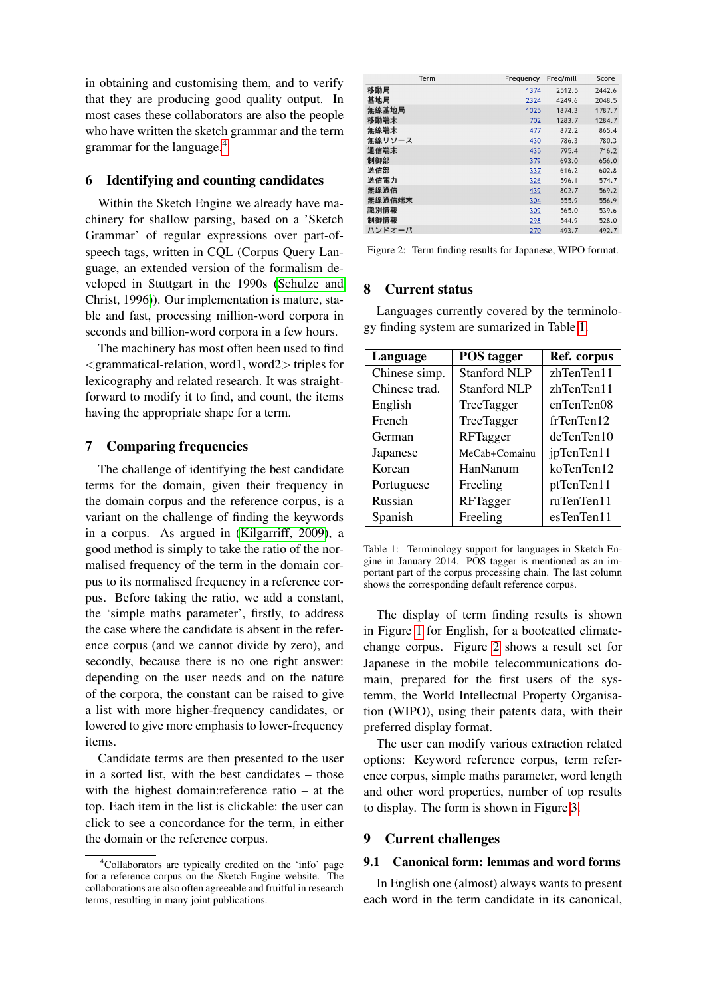in obtaining and customising them, and to verify that they are producing good quality output. In most cases these collaborators are also the people who have written the sketch grammar and the term grammar for the language.[4](#page-1-0)

## 6 Identifying and counting candidates

Within the Sketch Engine we already have machinery for shallow parsing, based on a 'Sketch Grammar' of regular expressions over part-ofspeech tags, written in CQL (Corpus Query Language, an extended version of the formalism developed in Stuttgart in the 1990s [\(Schulze and](#page-3-7) [Christ, 1996\)](#page-3-7)). Our implementation is mature, stable and fast, processing million-word corpora in seconds and billion-word corpora in a few hours.

The machinery has most often been used to find  $\leq$ grammatical-relation, word1, word2 $>$  triples for lexicography and related research. It was straightforward to modify it to find, and count, the items having the appropriate shape for a term.

## 7 Comparing frequencies

The challenge of identifying the best candidate terms for the domain, given their frequency in the domain corpus and the reference corpus, is a variant on the challenge of finding the keywords in a corpus. As argued in [\(Kilgarriff, 2009\)](#page-3-8), a good method is simply to take the ratio of the normalised frequency of the term in the domain corpus to its normalised frequency in a reference corpus. Before taking the ratio, we add a constant, the 'simple maths parameter', firstly, to address the case where the candidate is absent in the reference corpus (and we cannot divide by zero), and secondly, because there is no one right answer: depending on the user needs and on the nature of the corpora, the constant can be raised to give a list with more higher-frequency candidates, or lowered to give more emphasis to lower-frequency items.

Candidate terms are then presented to the user in a sorted list, with the best candidates – those with the highest domain:reference ratio – at the top. Each item in the list is clickable: the user can click to see a concordance for the term, in either the domain or the reference corpus.

<span id="page-1-2"></span>

| Term   | Frequency | Freg/mill | Score  |
|--------|-----------|-----------|--------|
| 移動局    | 1374      | 2512.5    | 2442.6 |
| 基地局    | 2324      | 4249.6    | 2048.5 |
| 無線基地局  | 1025      | 1874.3    | 1787.7 |
| 移動端末   | 702       | 1283.7    | 1284.7 |
| 無線端末   | 477       | 872.2     | 865.4  |
| 無線リソース | 430       | 786.3     | 780.3  |
| 通信端末   | 435       | 795.4     | 716.2  |
| 制御部    | 379       | 693.0     | 656.0  |
| 送信部    | 337       | 616.2     | 602.8  |
| 送信電力   | 326       | 596.1     | 574.7  |
| 無線通信   | 439       | 802.7     | 569.2  |
| 無線通信端末 | 304       | 555.9     | 556.9  |
| 識別情報   | 309       | 565.0     | 539.6  |
| 制御情報   | 298       | 544.9     | 528.0  |
| ハンドオーバ | 270       | 493.7     | 492.7  |

Figure 2: Term finding results for Japanese, WIPO format.

#### 8 Current status

Languages currently covered by the terminology finding system are sumarized in Table [1.](#page-1-1)

<span id="page-1-1"></span>

| Language      | <b>POS</b> tagger   | Ref. corpus |
|---------------|---------------------|-------------|
| Chinese simp. | <b>Stanford NLP</b> | zhTenTen11  |
| Chinese trad. | <b>Stanford NLP</b> | zhTenTen11  |
| English       | TreeTagger          | enTenTen08  |
| French        | TreeTagger          | frTenTen12  |
| German        | RFTagger            | deTenTen10  |
| Japanese      | MeCab+Comainu       | jpTenTen11  |
| Korean        | HanNanum            | koTenTen12  |
| Portuguese    | Freeling            | ptTenTen11  |
| Russian       | RFTagger            | ruTenTen11  |
| Spanish       | Freeling            | esTenTen11  |

Table 1: Terminology support for languages in Sketch Engine in January 2014. POS tagger is mentioned as an important part of the corpus processing chain. The last column shows the corresponding default reference corpus.

The display of term finding results is shown in Figure [1](#page-2-0) for English, for a bootcatted climatechange corpus. Figure [2](#page-1-2) shows a result set for Japanese in the mobile telecommunications domain, prepared for the first users of the systemm, the World Intellectual Property Organisation (WIPO), using their patents data, with their preferred display format.

The user can modify various extraction related options: Keyword reference corpus, term reference corpus, simple maths parameter, word length and other word properties, number of top results to display. The form is shown in Figure [3.](#page-2-1)

## 9 Current challenges

#### 9.1 Canonical form: lemmas and word forms

In English one (almost) always wants to present each word in the term candidate in its canonical,

<span id="page-1-0"></span><sup>4</sup>Collaborators are typically credited on the 'info' page for a reference corpus on the Sketch Engine website. The collaborations are also often agreeable and fruitful in research terms, resulting in many joint publications.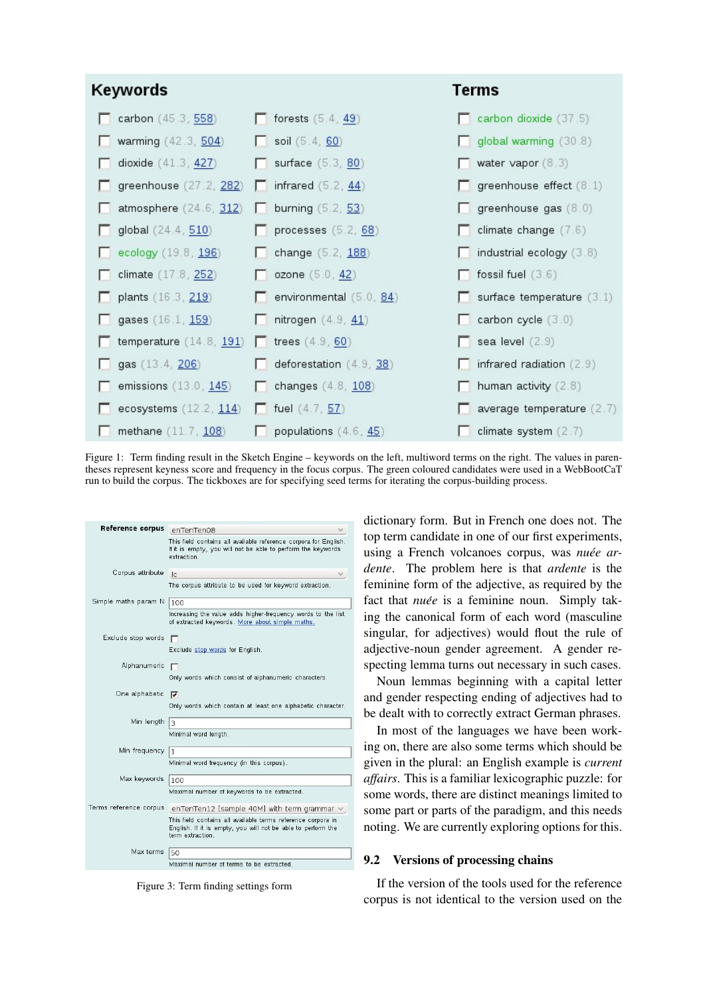<span id="page-2-0"></span>

Figure 1: Term finding result in the Sketch Engine – keywords on the left, multiword terms on the right. The values in parentheses represent keyness score and frequency in the focus corpus. The green coloured candidates were used in a WebBootCaT run to build the corpus. The tickboxes are for specifying seed terms for iterating the corpus-building process.

<span id="page-2-1"></span>

| Reference corpus     | enTenTen08                                                                                                                                       |
|----------------------|--------------------------------------------------------------------------------------------------------------------------------------------------|
|                      | This field contains all available reference corpora for English.<br>If it is empty, you will not be able to perform the keywords<br>extraction   |
| Corpus attribute     | $\overline{\phantom{a}}$                                                                                                                         |
|                      | The corpus attribute to be used for keyword extraction.                                                                                          |
| Simple maths param N | 100                                                                                                                                              |
|                      | Increasing the value adds higher-frequency words to the list<br>of extracted keywords. More about simple maths.                                  |
| Exclude stop words   |                                                                                                                                                  |
|                      | Exclude stop words for English.                                                                                                                  |
| Alphanumeric         | г                                                                                                                                                |
|                      | Only words which consist of alphanumeric characters.                                                                                             |
| One alphabetic       | <del>⊽</del>                                                                                                                                     |
|                      | Only words which contain at least one alphabetic character.                                                                                      |
| Min length           | 3                                                                                                                                                |
|                      | Minimal word length.                                                                                                                             |
| Min frequency        | 1                                                                                                                                                |
|                      | Minimal word frequency (in this corpus).                                                                                                         |
| Max keywords         | 100                                                                                                                                              |
|                      | Maximal number of keywords to be extracted.                                                                                                      |
|                      | Terms reference corpus enTenTen12 [sample 40M] with term grammar                                                                                 |
|                      | This field contains all available terms reference corpora in<br>English. If it is empty, you will not be able to perform the<br>term extraction. |
| Max terms            | 50                                                                                                                                               |
|                      | Maximal number of terms to be extracted.                                                                                                         |

Figure 3: Term finding settings form

dictionary form. But in French one does not. The top term candidate in one of our first experiments, using a French volcanoes corpus, was *nuée ardente*. The problem here is that *ardente* is the feminine form of the adjective, as required by the fact that *nuée* is a feminine noun. Simply taking the canonical form of each word (masculine singular, for adjectives) would flout the rule of adjective-noun gender agreement. A gender respecting lemma turns out necessary in such cases.

Noun lemmas beginning with a capital letter and gender respecting ending of adjectives had to be dealt with to correctly extract German phrases.

In most of the languages we have been working on, there are also some terms which should be given in the plural: an English example is *current affairs*. This is a familiar lexicographic puzzle: for some words, there are distinct meanings limited to some part or parts of the paradigm, and this needs noting. We are currently exploring options for this.

#### 9.2 Versions of processing chains

If the version of the tools used for the reference corpus is not identical to the version used on the